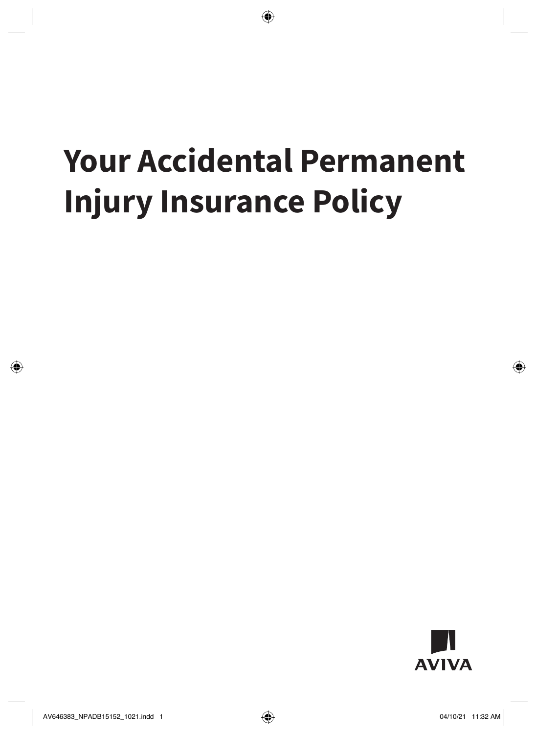# **Your Accidental Permanent Injury Insurance Policy**

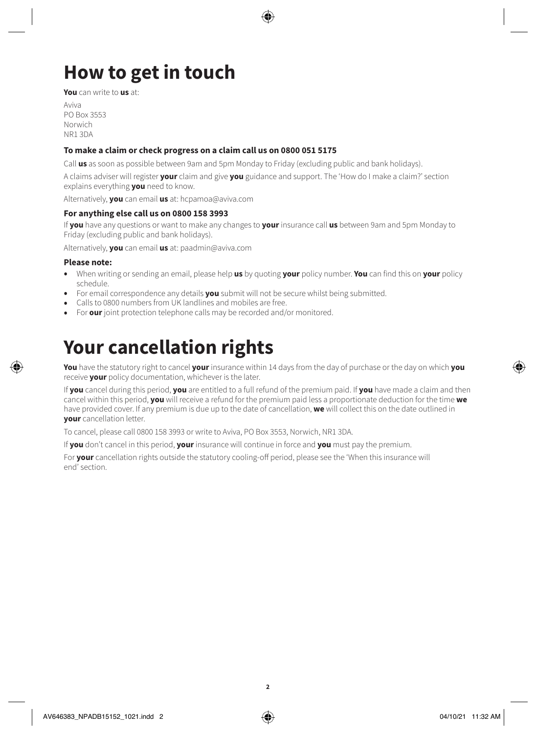# **How to get in touch**

**You** can write to **us** at:

Aviva PO Box 3553 Norwich NR1 3DA

### **To make a claim or check progress on a claim call us on 0800 051 5175**

Call **us** as soon as possible between 9am and 5pm Monday to Friday (excluding public and bank holidays).

A claims adviser will register **your** claim and give **you** guidance and support. The 'How do I make a claim?' section explains everything **you** need to know.

Alternatively, **you** can email **us** at: [hcpamoa@aviva.com](mailto:hcpamoa@aviva.com)

#### **For anything else call us on 0800 158 3993**

If **you** have any questions or want to make any changes to **your** insurance call **us** between 9am and 5pm Monday to Friday (excluding public and bank holidays).

Alternatively, **you** can email **us** at: [paadmin@aviva.com](mailto:paadmin@aviva.com)

#### **Please note:**

- When writing or sending an email, please help **us** by quoting **your** policy number. **You** can find this on **your** policy schedule.
- For email correspondence any details **you** submit will not be secure whilst being submitted.
- Calls to 0800 numbers from UK landlines and mobiles are free.
- For **our** joint protection telephone calls may be recorded and/or monitored.

# **Your cancellation rights**

**You** have the statutory right to cancel **your** insurance within 14 days from the day of purchase or the day on which **you**  receive **your** policy documentation, whichever is the later.

If **you** cancel during this period, **you** are entitled to a full refund of the premium paid. If **you** have made a claim and then cancel within this period, **you** will receive a refund for the premium paid less a proportionate deduction for the time **we**  have provided cover. If any premium is due up to the date of cancellation, **we** will collect this on the date outlined in **your** cancellation letter.

To cancel, please call 0800 158 3993 or write to Aviva, PO Box 3553, Norwich, NR1 3DA.

If **you** don't cancel in this period, **your** insurance will continue in force and **you** must pay the premium.

For **your** cancellation rights outside the statutory cooling-off period, please see the 'When this insurance will end' section.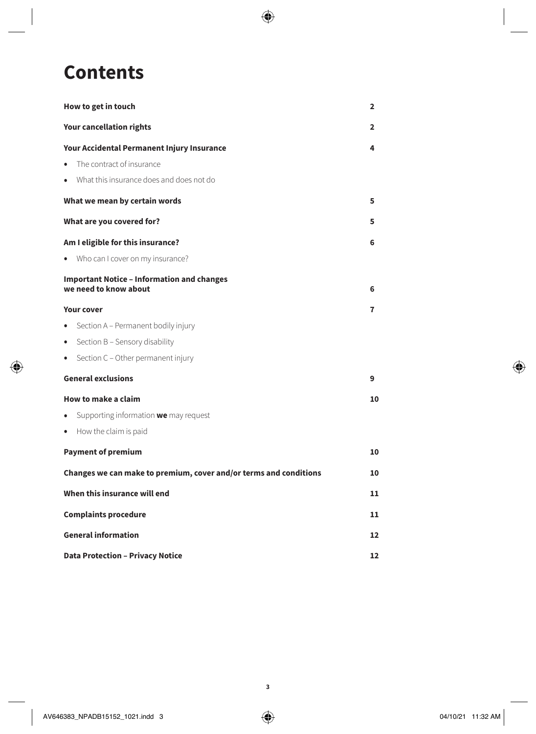# **Contents**

| How to get in touch                                                        | $\overline{2}$ |
|----------------------------------------------------------------------------|----------------|
| <b>Your cancellation rights</b>                                            | 2              |
| Your Accidental Permanent Injury Insurance                                 | 4              |
| The contract of insurance<br>$\bullet$                                     |                |
| What this insurance does and does not do<br>$\bullet$                      |                |
| What we mean by certain words                                              | 5              |
| What are you covered for?                                                  | 5              |
| Am I eligible for this insurance?                                          | 6              |
| Who can I cover on my insurance?<br>$\bullet$                              |                |
| <b>Important Notice - Information and changes</b><br>we need to know about | 6              |
| <b>Your cover</b>                                                          | 7              |
| Section A - Permanent bodily injury<br>٠                                   |                |
| Section B - Sensory disability<br>٠                                        |                |
| Section C - Other permanent injury<br>$\bullet$                            |                |
| <b>General exclusions</b>                                                  | 9              |
| How to make a claim                                                        | 10             |
| Supporting information we may request<br>$\bullet$                         |                |
| How the claim is paid<br>$\bullet$                                         |                |
| <b>Payment of premium</b>                                                  | 10             |
| Changes we can make to premium, cover and/or terms and conditions          | 10             |
| When this insurance will end                                               | 11             |
| <b>Complaints procedure</b>                                                | 11             |
| <b>General information</b>                                                 | 12             |
| <b>Data Protection - Privacy Notice</b>                                    | 12             |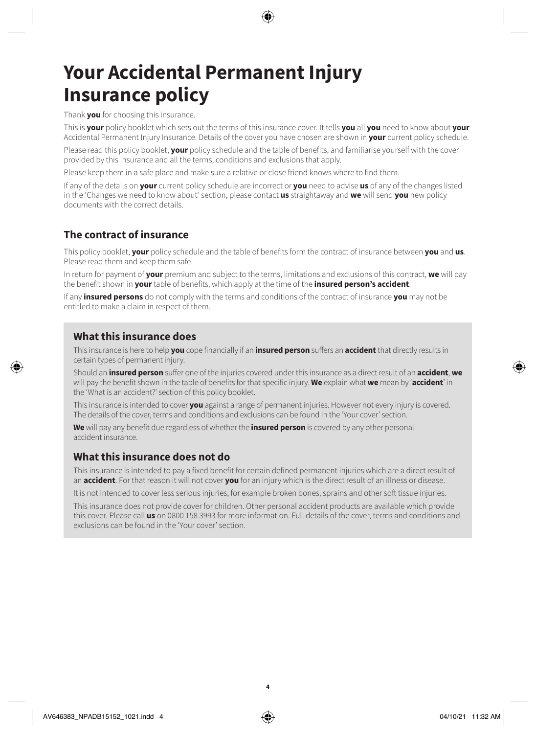# **Your Accidental Permanent Injury Insurance policy**

Thank **you** for choosing this insurance.

This is **your** policy booklet which sets out the terms of this insurance cover. It tells **you** all **you** need to know about **your**  Accidental Permanent Injury Insurance. Details of the cover you have chosen are shown in **your** current policy schedule.

Please read this policy booklet, **your** policy schedule and the table of benefits, and familiarise yourself with the cover provided by this insurance and all the terms, conditions and exclusions that apply.

Please keep them in a safe place and make sure a relative or close friend knows where to find them.

If any of the details on **your** current policy schedule are incorrect or **you** need to advise **us** of any of the changes listed in the 'Changes we need to know about' section, please contact **us** straightaway and **we** will send **you** new policy documents with the correct details.

### **The contract of insurance**

This policy booklet, **your** policy schedule and the table of benefits form the contract of insurance between **you** and **us**. Please read them and keep them safe.

In return for payment of **your** premium and subject to the terms, limitations and exclusions of this contract, **we** will pay the benefit shown in **your** table of benefits, which apply at the time of the **insured person's accident**.

If any **insured persons** do not comply with the terms and conditions of the contract of insurance **you** may not be entitled to make a claim in respect of them.

### **What this insurance does**

This insurance is here to help **you** cope financially if an **insured person** suffers an **accident** that directly results in certain types of permanent injury.

Should an **insured person** suffer one of the injuries covered under this insurance as a direct result of an **accident**, **we**  will pay the benefit shown in the table of benefits for that specific injury. **We** explain what **we** mean by '**accident**' in the 'What is an accident?' section of this policy booklet.

This insurance is intended to cover **you** against a range of permanent injuries. However not every injury is covered. The details of the cover, terms and conditions and exclusions can be found in the 'Your cover' section.

**We** will pay any benefit due regardless of whether the **insured person** is covered by any other personal accident insurance.

### **What this insurance does not do**

This insurance is intended to pay a fixed benefit for certain defined permanent injuries which are a direct result of an **accident**. For that reason it will not cover **you** for an injury which is the direct result of an illness or disease.

It is not intended to cover less serious injuries, for example broken bones, sprains and other soft tissue injuries.

This insurance does not provide cover for children. Other personal accident products are available which provide this cover. Please call **us** on 0800 158 3993 for more information. Full details of the cover, terms and conditions and exclusions can be found in the 'Your cover' section.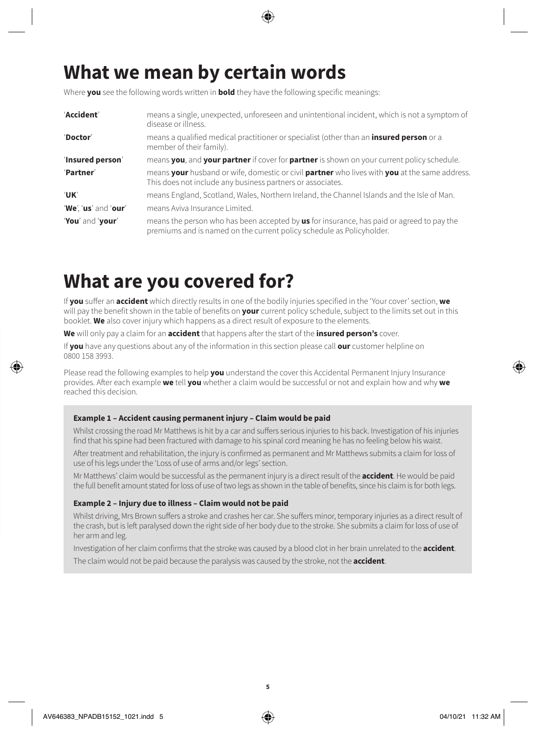# **What we mean by certain words**

Where **you** see the following words written in **bold** they have the following specific meanings:

| 'Accident'           | means a single, unexpected, unforeseen and unintentional incident, which is not a symptom of<br>disease or illness.                                                |
|----------------------|--------------------------------------------------------------------------------------------------------------------------------------------------------------------|
| 'Doctor'             | means a qualified medical practitioner or specialist (other than an <b>insured person</b> or a<br>member of their family).                                         |
| 'Insured person'     | means you, and your partner if cover for partner is shown on your current policy schedule.                                                                         |
| 'Partner'            | means your husband or wife, domestic or civil partner who lives with you at the same address.<br>This does not include any business partners or associates.        |
| 'UK'                 | means England, Scotland, Wales, Northern Ireland, the Channel Islands and the Isle of Man.                                                                         |
| 'We', 'us' and 'our' | means Aviva Insurance Limited.                                                                                                                                     |
| 'You' and 'your'     | means the person who has been accepted by us for insurance, has paid or agreed to pay the<br>premiums and is named on the current policy schedule as Policyholder. |

# **What are you covered for?**

If **you** suffer an **accident** which directly results in one of the bodily injuries specified in the 'Your cover' section, **we**  will pay the benefit shown in the table of benefits on **your** current policy schedule, subject to the limits set out in this booklet. **We** also cover injury which happens as a direct result of exposure to the elements.

**We** will only pay a claim for an **accident** that happens after the start of the **insured person's** cover.

If **you** have any questions about any of the information in this section please call **our** customer helpline on 0800 158 3993.

Please read the following examples to help **you** understand the cover this Accidental Permanent Injury Insurance provides. After each example **we** tell **you** whether a claim would be successful or not and explain how and why **we**  reached this decision.

#### **Example 1 – Accident causing permanent injury – Claim would be paid**

Whilst crossing the road Mr Matthews is hit by a car and suffers serious injuries to his back. Investigation of his injuries find that his spine had been fractured with damage to his spinal cord meaning he has no feeling below his waist.

After treatment and rehabilitation, the injury is confirmed as permanent and Mr Matthews submits a claim for loss of use of his legs under the 'Loss of use of arms and/or legs' section.

Mr Matthews' claim would be successful as the permanent injury is a direct result of the **accident**. He would be paid the full benefit amount stated for loss of use of two legs as shown in the table of benefits, since his claim is for both legs.

#### **Example 2 – Injury due to illness – Claim would not be paid**

Whilst driving, Mrs Brown suffers a stroke and crashes her car. She suffers minor, temporary injuries as a direct result of the crash, but is left paralysed down the right side of her body due to the stroke. She submits a claim for loss of use of her arm and leg.

Investigation of her claim confirms that the stroke was caused by a blood clot in her brain unrelated to the **accident**.

The claim would not be paid because the paralysis was caused by the stroke, not the **accident**.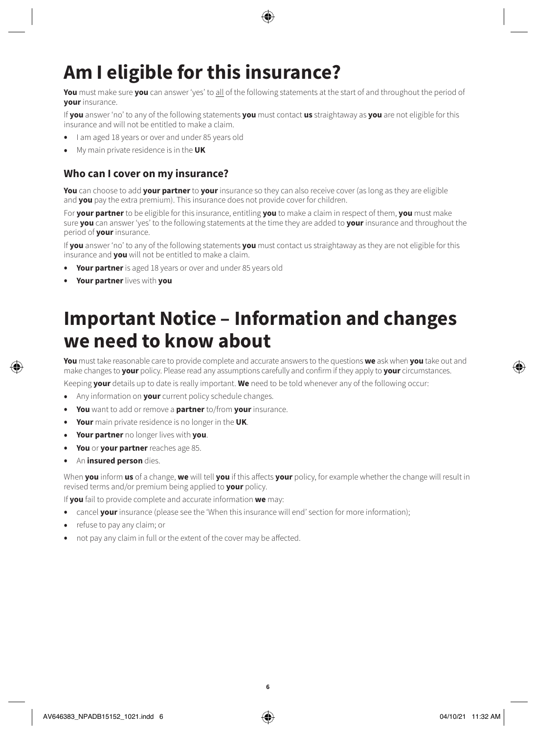# **Am I eligible for this insurance?**

**You** must make sure **you** can answer 'yes' to all of the following statements at the start of and throughout the period of **your** insurance.

If **you** answer 'no' to any of the following statements **you** must contact **us** straightaway as **you** are not eligible for this insurance and will not be entitled to make a claim.

- I am aged 18 years or over and under 85 years old
- My main private residence is in the **UK**

# **Who can I cover on my insurance?**

**You** can choose to add **your partner** to **your** insurance so they can also receive cover (as long as they are eligible and **you** pay the extra premium). This insurance does not provide cover for children.

For **your partner** to be eligible for this insurance, entitling **you** to make a claim in respect of them, **you** must make sure **you** can answer 'yes' to the following statements at the time they are added to **your** insurance and throughout the period of **your** insurance.

If **you** answer 'no' to any of the following statements **you** must contact us straightaway as they are not eligible for this insurance and **you** will not be entitled to make a claim.

- **Your partner** is aged 18 years or over and under 85 years old
- **Your partner** lives with **you**

# **Important Notice – Information and changes we need to know about**

**You** must take reasonable care to provide complete and accurate answers to the questions **we** ask when **you** take out and make changes to **your** policy. Please read any assumptions carefully and confirm if they apply to **your** circumstances.

Keeping **your** details up to date is really important. **We** need to be told whenever any of the following occur:

- Any information on **your** current policy schedule changes.
- **You** want to add or remove a **partner** to/from **your** insurance.
- **Your** main private residence is no longer in the **UK**.
- **Your partner** no longer lives with **you**.
- **You** or **your partner** reaches age 85.
- An **insured person** dies.

When **you** inform **us** of a change, **we** will tell **you** if this affects **your** policy, for example whether the change will result in revised terms and/or premium being applied to **your** policy.

If **you** fail to provide complete and accurate information **we** may:

- cancel **your** insurance (please see the 'When this insurance will end' section for more information);
- refuse to pay any claim; or
- not pay any claim in full or the extent of the cover may be affected.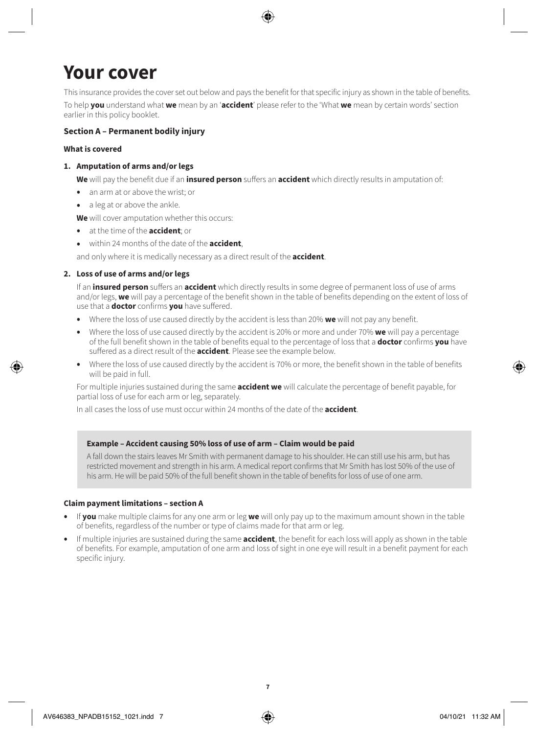# **Your cover**

This insurance provides the cover set out below and pays the benefit for that specific injury as shown in the table of benefits.

To help **you** understand what **we** mean by an '**accident**' please refer to the 'What **we** mean by certain words' section earlier in this policy booklet.

### **Section A – Permanent bodily injury**

#### **What is covered**

### **1. Amputation of arms and/or legs**

**We** will pay the benefit due if an **insured person** suffers an **accident** which directly results in amputation of:

- an arm at or above the wrist; or
- a leg at or above the ankle.

**We** will cover amputation whether this occurs:

- at the time of the **accident**; or
- within 24 months of the date of the **accident**,

and only where it is medically necessary as a direct result of the **accident**.

### **2. Loss of use of arms and/or legs**

If an **insured person** suffers an **accident** which directly results in some degree of permanent loss of use of arms and/or legs, **we** will pay a percentage of the benefit shown in the table of benefits depending on the extent of loss of use that a **doctor** confirms **you** have suffered.

- Where the loss of use caused directly by the accident is less than 20% **we** will not pay any benefit.
- Where the loss of use caused directly by the accident is 20% or more and under 70% **we** will pay a percentage of the full benefit shown in the table of benefits equal to the percentage of loss that a **doctor** confirms **you** have suffered as a direct result of the **accident**. Please see the example below.
- Where the loss of use caused directly by the accident is 70% or more, the benefit shown in the table of benefits will be paid in full.

For multiple injuries sustained during the same **accident we** will calculate the percentage of benefit payable, for partial loss of use for each arm or leg, separately.

In all cases the loss of use must occur within 24 months of the date of the **accident**.

### **Example – Accident causing 50% loss of use of arm – Claim would be paid**

A fall down the stairs leaves Mr Smith with permanent damage to his shoulder. He can still use his arm, but has restricted movement and strength in his arm. A medical report confirms that Mr Smith has lost 50% of the use of his arm. He will be paid 50% of the full benefit shown in the table of benefits for loss of use of one arm.

#### **Claim payment limitations – section A**

- If **you** make multiple claims for any one arm or leg **we** will only pay up to the maximum amount shown in the table of benefits, regardless of the number or type of claims made for that arm or leg.
- If multiple injuries are sustained during the same **accident**, the benefit for each loss will apply as shown in the table of benefits. For example, amputation of one arm and loss of sight in one eye will result in a benefit payment for each specific injury.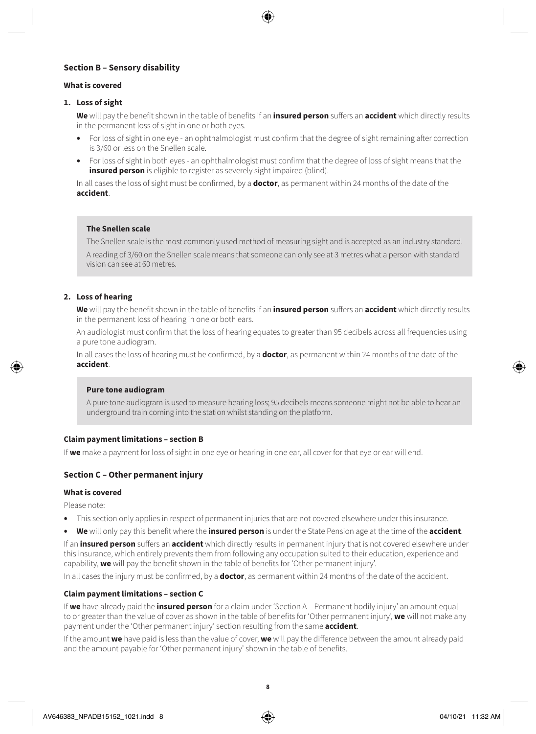#### **Section B – Sensory disability**

#### **What is covered**

#### **1. Loss of sight**

**We** will pay the benefit shown in the table of benefits if an **insured person** suffers an **accident** which directly results in the permanent loss of sight in one or both eyes.

- For loss of sight in one eye an ophthalmologist must confirm that the degree of sight remaining after correction is 3/60 or less on the Snellen scale.
- For loss of sight in both eyes an ophthalmologist must confirm that the degree of loss of sight means that the **insured person** is eligible to register as severely sight impaired (blind).

In all cases the loss of sight must be confirmed, by a **doctor**, as permanent within 24 months of the date of the **accident**.

#### **The Snellen scale**

The Snellen scale is the most commonly used method of measuring sight and is accepted as an industry standard. A reading of 3/60 on the Snellen scale means that someone can only see at 3 metres what a person with standard vision can see at 60 metres.

#### **2. Loss of hearing**

**We** will pay the benefit shown in the table of benefits if an **insured person** suffers an **accident** which directly results in the permanent loss of hearing in one or both ears.

An audiologist must confirm that the loss of hearing equates to greater than 95 decibels across all frequencies using a pure tone audiogram.

In all cases the loss of hearing must be confirmed, by a **doctor**, as permanent within 24 months of the date of the **accident**.

#### **Pure tone audiogram**

A pure tone audiogram is used to measure hearing loss; 95 decibels means someone might not be able to hear an underground train coming into the station whilst standing on the platform.

#### **Claim payment limitations – section B**

If **we** make a payment for loss of sight in one eye or hearing in one ear, all cover for that eye or ear will end.

#### **Section C – Other permanent injury**

#### **What is covered**

Please note:

- This section only applies in respect of permanent injuries that are not covered elsewhere under this insurance.
- **We** will only pay this benefit where the **insured person** is under the State Pension age at the time of the **accident**.

If an **insured person** suffers an **accident** which directly results in permanent injury that is not covered elsewhere under this insurance, which entirely prevents them from following any occupation suited to their education, experience and capability, **we** will pay the benefit shown in the table of benefits for 'Other permanent injury'.

In all cases the injury must be confirmed, by a **doctor**, as permanent within 24 months of the date of the accident.

#### **Claim payment limitations – section C**

If **we** have already paid the **insured person** for a claim under 'Section A – Permanent bodily injury' an amount equal to or greater than the value of cover as shown in the table of benefits for 'Other permanent injury', **we** will not make any payment under the 'Other permanent injury' section resulting from the same **accident**.

If the amount **we** have paid is less than the value of cover, **we** will pay the difference between the amount already paid and the amount payable for 'Other permanent injury' shown in the table of benefits.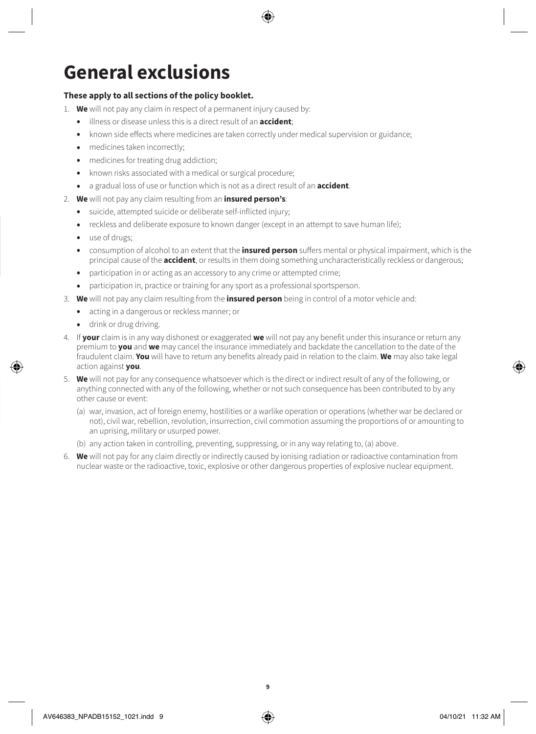# **General exclusions**

### **These apply to all sections of the policy booklet.**

- 1. **We** will not pay any claim in respect of a permanent injury caused by:
	- illness or disease unless this is a direct result of an **accident**;
	- known side effects where medicines are taken correctly under medical supervision or guidance;
	- medicines taken incorrectly:
	- medicines for treating drug addiction;
	- known risks associated with a medical or surgical procedure;
	- a gradual loss of use or function which is not as a direct result of an **accident**.
- 2. **We** will not pay any claim resulting from an **insured person's**:
	- suicide, attempted suicide or deliberate self-inflicted injury;
	- reckless and deliberate exposure to known danger (except in an attempt to save human life);
	- use of drugs;
	- consumption of alcohol to an extent that the **insured person** suffers mental or physical impairment, which is the principal cause of the **accident**, or results in them doing something uncharacteristically reckless or dangerous;
	- participation in or acting as an accessory to any crime or attempted crime;
	- participation in, practice or training for any sport as a professional sportsperson.
- 3. **We** will not pay any claim resulting from the **insured person** being in control of a motor vehicle and:
	- acting in a dangerous or reckless manner; or
	- drink or drug driving.
- 4. If **your** claim is in any way dishonest or exaggerated **we** will not pay any benefit under this insurance or return any premium to **you** and **we** may cancel the insurance immediately and backdate the cancellation to the date of the fraudulent claim. **You** will have to return any benefits already paid in relation to the claim. **We** may also take legal action against **you**.
- 5. **We** will not pay for any consequence whatsoever which is the direct or indirect result of any of the following, or anything connected with any of the following, whether or not such consequence has been contributed to by any other cause or event:
	- (a) war, invasion, act of foreign enemy, hostilities or a warlike operation or operations (whether war be declared or not), civil war, rebellion, revolution, insurrection, civil commotion assuming the proportions of or amounting to an uprising, military or usurped power.
	- (b) any action taken in controlling, preventing, suppressing, or in any way relating to, (a) above.
- 6. **We** will not pay for any claim directly or indirectly caused by ionising radiation or radioactive contamination from nuclear waste or the radioactive, toxic, explosive or other dangerous properties of explosive nuclear equipment.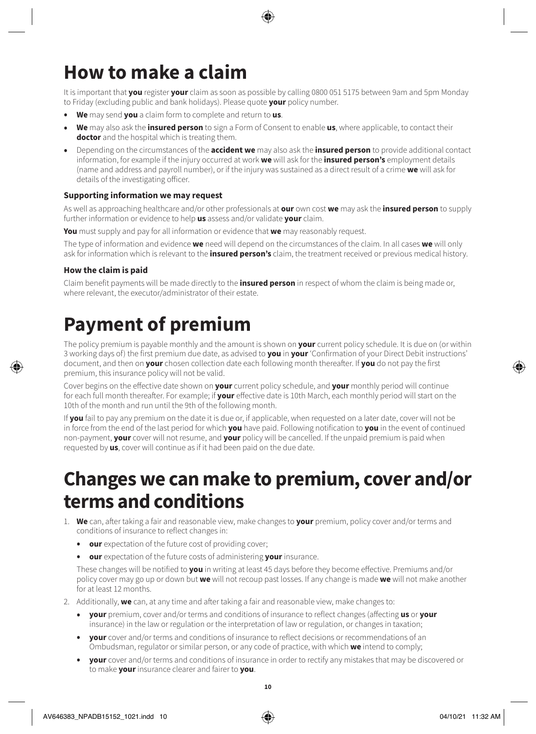# **How to make a claim**

It is important that **you** register **your** claim as soon as possible by calling 0800 051 5175 between 9am and 5pm Monday to Friday (excluding public and bank holidays). Please quote **your** policy number.

- **We** may send **you** a claim form to complete and return to **us**.
- **We** may also ask the **insured person** to sign a Form of Consent to enable **us**, where applicable, to contact their **doctor** and the hospital which is treating them.
- Depending on the circumstances of the **accident we** may also ask the **insured person** to provide additional contact information, for example if the injury occurred at work **we** will ask for the **insured person's** employment details (name and address and payroll number), or if the injury was sustained as a direct result of a crime **we** will ask for details of the investigating officer.

#### **Supporting information we may request**

As well as approaching healthcare and/or other professionals at **our** own cost **we** may ask the **insured person** to supply further information or evidence to help **us** assess and/or validate **your** claim.

**You** must supply and pay for all information or evidence that **we** may reasonably request.

The type of information and evidence **we** need will depend on the circumstances of the claim. In all cases **we** will only ask for information which is relevant to the **insured person's** claim, the treatment received or previous medical history.

### **How the claim is paid**

Claim benefit payments will be made directly to the **insured person** in respect of whom the claim is being made or, where relevant, the executor/administrator of their estate.

# **Payment of premium**

The policy premium is payable monthly and the amount is shown on **your** current policy schedule. It is due on (or within 3 working days of) the first premium due date, as advised to **you** in **your** 'Confirmation of your Direct Debit instructions' document, and then on **your** chosen collection date each following month thereafter. If **you** do not pay the first premium, this insurance policy will not be valid.

Cover begins on the effective date shown on **your** current policy schedule, and **your** monthly period will continue for each full month thereafter. For example; if **your** effective date is 10th March, each monthly period will start on the 10th of the month and run until the 9th of the following month.

If **you** fail to pay any premium on the date it is due or, if applicable, when requested on a later date, cover will not be in force from the end of the last period for which **you** have paid. Following notification to **you** in the event of continued non-payment, **your** cover will not resume, and **your** policy will be cancelled. If the unpaid premium is paid when requested by **us**, cover will continue as if it had been paid on the due date.

# **Changes we can make to premium, cover and/or terms and conditions**

- 1. **We** can, after taking a fair and reasonable view, make changes to **your** premium, policy cover and/or terms and conditions of insurance to reflect changes in:
	- **our** expectation of the future cost of providing cover;
	- **our** expectation of the future costs of administering **your** insurance.

These changes will be notified to **you** in writing at least 45 days before they become effective. Premiums and/or policy cover may go up or down but **we** will not recoup past losses. If any change is made **we** will not make another for at least 12 months.

- 2. Additionally, **we** can, at any time and after taking a fair and reasonable view, make changes to:
	- **your** premium, cover and/or terms and conditions of insurance to reflect changes (affecting **us** or **your**  insurance) in the law or regulation or the interpretation of law or regulation, or changes in taxation;
	- **your** cover and/or terms and conditions of insurance to reflect decisions or recommendations of an Ombudsman, regulator or similar person, or any code of practice, with which **we** intend to comply;
	- **your** cover and/or terms and conditions of insurance in order to rectify any mistakes that may be discovered or to make **your** insurance clearer and fairer to **you**.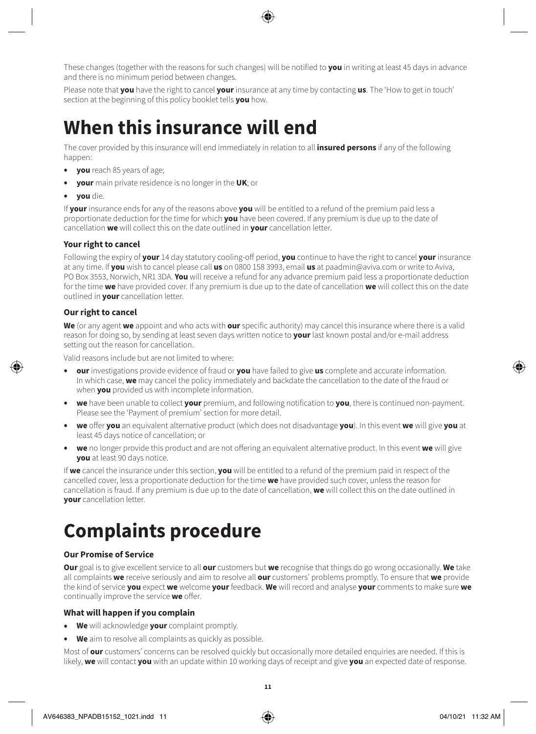These changes (together with the reasons for such changes) will be notified to **you** in writing at least 45 days in advance and there is no minimum period between changes.

Please note that **you** have the right to cancel **your** insurance at any time by contacting **us**. The 'How to get in touch' section at the beginning of this policy booklet tells **you** how.

# **When this insurance will end**

The cover provided by this insurance will end immediately in relation to all **insured persons** if any of the following happen:

- **you** reach 85 years of age;
- **your** main private residence is no longer in the **UK**; or
- **you** die.

If **your** insurance ends for any of the reasons above **you** will be entitled to a refund of the premium paid less a proportionate deduction for the time for which **you** have been covered. If any premium is due up to the date of cancellation **we** will collect this on the date outlined in **your** cancellation letter.

### **Your right to cancel**

Following the expiry of **your** 14 day statutory cooling-off period, **you** continue to have the right to cancel **your** insurance at any time. If **you** wish to cancel please call **us** on 0800 158 3993, email **us** at paadmin@aviva.com or write to Aviva, PO Box 3553, Norwich, NR1 3DA. **You** will receive a refund for any advance premium paid less a proportionate deduction for the time **we** have provided cover. If any premium is due up to the date of cancellation **we** will collect this on the date outlined in **your** cancellation letter.

### **Our right to cancel**

**We** (or any agent **we** appoint and who acts with **our** specific authority) may cancel this insurance where there is a valid reason for doing so, by sending at least seven days written notice to **your** last known postal and/or e-mail address setting out the reason for cancellation.

Valid reasons include but are not limited to where:

- **our** investigations provide evidence of fraud or **you** have failed to give **us** complete and accurate information. In which case, **we** may cancel the policy immediately and backdate the cancellation to the date of the fraud or when **you** provided us with incomplete information.
- **we** have been unable to collect **your** premium, and following notification to **you**, there is continued non-payment. Please see the 'Payment of premium' section for more detail.
- **we** offer **you** an equivalent alternative product (which does not disadvantage **you**). In this event **we** will give **you** at least 45 days notice of cancellation; or
- **we** no longer provide this product and are not offering an equivalent alternative product. In this event **we** will give **you** at least 90 days notice.

If **we** cancel the insurance under this section, **you** will be entitled to a refund of the premium paid in respect of the cancelled cover, less a proportionate deduction for the time **we** have provided such cover, unless the reason for cancellation is fraud. If any premium is due up to the date of cancellation, **we** will collect this on the date outlined in **your** cancellation letter.

# **Complaints procedure**

### **Our Promise of Service**

**Our** goal is to give excellent service to all **our** customers but **we** recognise that things do go wrong occasionally. **We** take all complaints **we** receive seriously and aim to resolve all **our** customers' problems promptly. To ensure that **we** provide the kind of service **you** expect **we** welcome **your** feedback. **We** will record and analyse **your** comments to make sure **we**  continually improve the service **we** offer.

### **What will happen if you complain**

- **We** will acknowledge **your** complaint promptly.
- **We** aim to resolve all complaints as quickly as possible.

Most of **our** customers' concerns can be resolved quickly but occasionally more detailed enquiries are needed. If this is likely, **we** will contact **you** with an update within 10 working days of receipt and give **you** an expected date of response.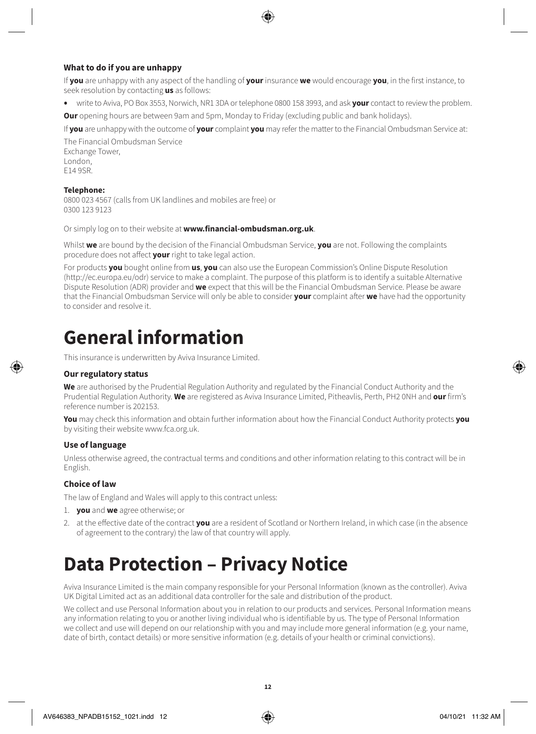### **What to do if you are unhappy**

If **you** are unhappy with any aspect of the handling of **your** insurance **we** would encourage **you**, in the first instance, to seek resolution by contacting **us** as follows:

• write to Aviva, PO Box 3553, Norwich, NR1 3DA or telephone 0800 158 3993, and ask **your** contact to review the problem.

**Our** opening hours are between 9am and 5pm, Monday to Friday (excluding public and bank holidays).

If **you** are unhappy with the outcome of **your** complaint **you** may refer the matter to the Financial Ombudsman Service at:

The Financial Ombudsman Service Exchange Tower, London<sub>,</sub> E14 9SR.

#### **Telephone:**

0800 023 4567 (calls from UK landlines and mobiles are free) or 0300 123 9123

Or simply log on to their website at **[www.financial-ombudsman.org.uk](http://www.financial-ombudsman.org.uk)**.

Whilst **we** are bound by the decision of the Financial Ombudsman Service, **you** are not. Following the complaints procedure does not affect **your** right to take legal action.

For products **you** bought online from **us**, **you** can also use the European Commission's Online Dispute Resolution (http://ec.europa.eu/odr) service to make a complaint. The purpose of this platform is to identify a suitable Alternative Dispute Resolution (ADR) provider and **we** expect that this will be the Financial Ombudsman Service. Please be aware that the Financial Ombudsman Service will only be able to consider **your** complaint after **we** have had the opportunity to consider and resolve it.

# **General information**

This insurance is underwritten by Aviva Insurance Limited.

#### **Our regulatory status**

**We** are authorised by the Prudential Regulation Authority and regulated by the Financial Conduct Authority and the Prudential Regulation Authority. **We** are registered as Aviva Insurance Limited, Pitheavlis, Perth, PH2 0NH and **our** firm's reference number is 202153.

**You** may check this information and obtain further information about how the Financial Conduct Authority protects **you**  by visiting their website www.fca.org.uk.

#### **Use of language**

Unless otherwise agreed, the contractual terms and conditions and other information relating to this contract will be in English.

#### **Choice of law**

The law of England and Wales will apply to this contract unless:

- 1. **you** and **we** agree otherwise; or
- 2. at the effective date of the contract **you** are a resident of Scotland or Northern Ireland, in which case (in the absence of agreement to the contrary) the law of that country will apply.

# **Data Protection – Privacy Notice**

Aviva Insurance Limited is the main company responsible for your Personal Information (known as the controller). Aviva UK Digital Limited act as an additional data controller for the sale and distribution of the product.

We collect and use Personal Information about you in relation to our products and services. Personal Information means any information relating to you or another living individual who is identifiable by us. The type of Personal Information we collect and use will depend on our relationship with you and may include more general information (e.g. your name, date of birth, contact details) or more sensitive information (e.g. details of your health or criminal convictions).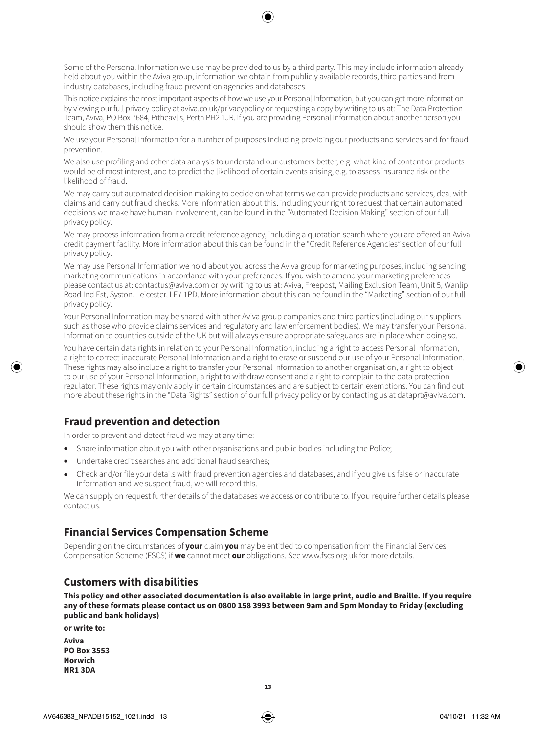Some of the Personal Information we use may be provided to us by a third party. This may include information already held about you within the Aviva group, information we obtain from publicly available records, third parties and from industry databases, including fraud prevention agencies and databases.

This notice explains the most important aspects of how we use your Personal Information, but you can get more information by viewing our full privacy policy at [aviva.co.uk/privacypolicy](http://www.aviva.co.uk/privacypolicy) or requesting a copy by writing to us at: The Data Protection Team, Aviva, PO Box 7684, Pitheavlis, Perth PH2 1JR. If you are providing Personal Information about another person you should show them this notice.

We use your Personal Information for a number of purposes including providing our products and services and for fraud prevention.

We also use profiling and other data analysis to understand our customers better, e.g. what kind of content or products would be of most interest, and to predict the likelihood of certain events arising, e.g. to assess insurance risk or the likelihood of fraud.

We may carry out automated decision making to decide on what terms we can provide products and services, deal with claims and carry out fraud checks. More information about this, including your right to request that certain automated decisions we make have human involvement, can be found in the "Automated Decision Making" section of our full privacy policy.

We may process information from a credit reference agency, including a quotation search where you are offered an Aviva credit payment facility. More information about this can be found in the "Credit Reference Agencies" section of our full privacy policy.

We may use Personal Information we hold about you across the Aviva group for marketing purposes, including sending marketing communications in accordance with your preferences. If you wish to amend your marketing preferences please contact us at: [contactus@aviva.com](mailto:contactus@aviva.com) or by writing to us at: Aviva, Freepost, Mailing Exclusion Team, Unit 5, Wanlip Road Ind Est, Syston, Leicester, LE7 1PD. More information about this can be found in the "Marketing" section of our full privacy policy.

Your Personal Information may be shared with other Aviva group companies and third parties (including our suppliers such as those who provide claims services and regulatory and law enforcement bodies). We may transfer your Personal Information to countries outside of the UK but will always ensure appropriate safeguards are in place when doing so.

You have certain data rights in relation to your Personal Information, including a right to access Personal Information, a right to correct inaccurate Personal Information and a right to erase or suspend our use of your Personal Information. These rights may also include a right to transfer your Personal Information to another organisation, a right to object to our use of your Personal Information, a right to withdraw consent and a right to complain to the data protection regulator. These rights may only apply in certain circumstances and are subject to certain exemptions. You can find out more about these rights in the "Data Rights" section of our full privacy policy or by contacting us at [dataprt@aviva.com.](mailto:dataprt@aviva.com)

# **Fraud prevention and detection**

In order to prevent and detect fraud we may at any time:

- Share information about you with other organisations and public bodies including the Police;
- Undertake credit searches and additional fraud searches;
- Check and/or file your details with fraud prevention agencies and databases, and if you give us false or inaccurate information and we suspect fraud, we will record this.

We can supply on request further details of the databases we access or contribute to. If you require further details please contact us.

### **Financial Services Compensation Scheme**

Depending on the circumstances of **your** claim **you** may be entitled to compensation from the Financial Services Compensation Scheme (FSCS) if **we** cannot meet **our** obligations. See www.fscs.org.uk for more details.

### **Customers with disabilities**

**This policy and other associated documentation is also available in large print, audio and Braille. If you require any of these formats please contact us on 0800 158 3993 between 9am and 5pm Monday to Friday (excluding public and bank holidays)**

**or write to:**

**Aviva PO Box 3553 Norwich NR1 3DA**